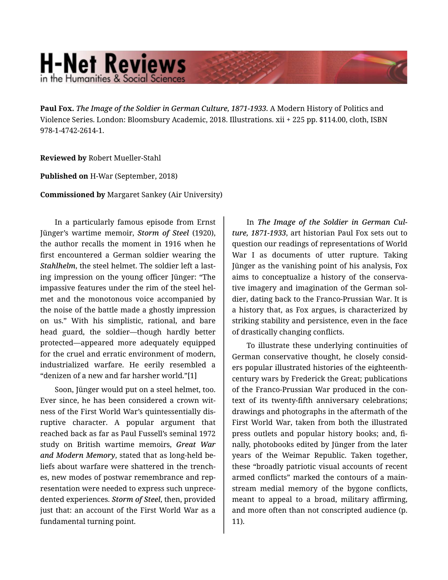## **H-Net Reviews** in the Humanities & Social Scienc

**Paul Fox.** *The Image of the Soldier in German Culture, 1871-1933.* A Modern History of Politics and Violence Series. London: Bloomsbury Academic, 2018. Illustrations. xii + 225 pp. \$114.00, cloth, ISBN 978-1-4742-2614-1.

## **Reviewed by** Robert Mueller-Stahl

**Published on** H-War (September, 2018)

**Commissioned by** Margaret Sankey (Air University)

In a particularly famous episode from Ernst Jünger's wartime memoir, *Storm of Steel* (1920), the author recalls the moment in 1916 when he first encountered a German soldier wearing the *Stahlhelm*, the steel helmet. The soldier left a last‐ ing impression on the young officer Jünger: "The impassive features under the rim of the steel hel‐ met and the monotonous voice accompanied by the noise of the battle made a ghostly impression on us." With his simplistic, rational, and bare head guard, the soldier—though hardly better protected—appeared more adequately equipped for the cruel and erratic environment of modern, industrialized warfare. He eerily resembled a "denizen of a new and far harsher world."[1]

Soon, Jünger would put on a steel helmet, too. Ever since, he has been considered a crown wit‐ ness of the First World War's quintessentially dis‐ ruptive character. A popular argument that reached back as far as Paul Fussell's seminal 1972 study on British wartime memoirs, *Great War and Modern Memory*, stated that as long-held be‐ liefs about warfare were shattered in the trench‐ es, new modes of postwar remembrance and rep‐ resentation were needed to express such unprece‐ dented experiences. *Storm of Steel*, then, provided just that: an account of the First World War as a fundamental turning point.

In *The Image of the Soldier in German Cul‐ ture, 1871-1933*, art historian Paul Fox sets out to question our readings of representations of World War I as documents of utter rupture. Taking Jünger as the vanishing point of his analysis, Fox aims to conceptualize a history of the conserva‐ tive imagery and imagination of the German sol‐ dier, dating back to the Franco-Prussian War. It is a history that, as Fox argues, is characterized by striking stability and persistence, even in the face of drastically changing conflicts.

To illustrate these underlying continuities of German conservative thought, he closely consid‐ ers popular illustrated histories of the eighteenthcentury wars by Frederick the Great; publications of the Franco-Prussian War produced in the con‐ text of its twenty-fifth anniversary celebrations; drawings and photographs in the aftermath of the First World War, taken from both the illustrated press outlets and popular history books; and, fi‐ nally, photobooks edited by Jünger from the later years of the Weimar Republic. Taken together, these "broadly patriotic visual accounts of recent armed conflicts" marked the contours of a main‐ stream medial memory of the bygone conflicts, meant to appeal to a broad, military affirming, and more often than not conscripted audience (p. 11).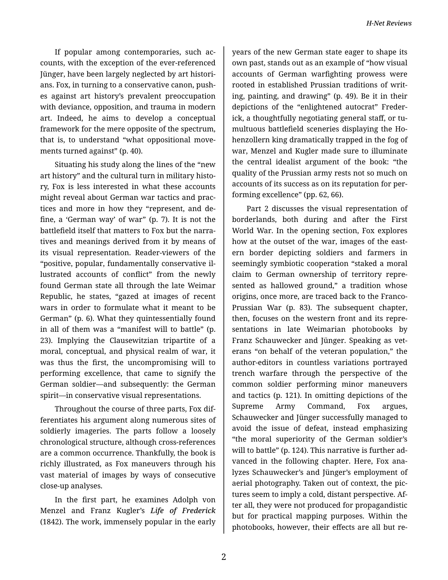If popular among contemporaries, such ac‐ counts, with the exception of the ever-referenced Jünger, have been largely neglected by art histori‐ ans. Fox, in turning to a conservative canon, push‐ es against art history's prevalent preoccupation with deviance, opposition, and trauma in modern art. Indeed, he aims to develop a conceptual framework for the mere opposite of the spectrum, that is, to understand "what oppositional move‐ ments turned against" (p. 40).

Situating his study along the lines of the "new art history" and the cultural turn in military histo‐ ry, Fox is less interested in what these accounts might reveal about German war tactics and prac‐ tices and more in how they "represent, and de‐ fine, a 'German way' of war" (p. 7). It is not the battlefield itself that matters to Fox but the narra‐ tives and meanings derived from it by means of its visual representation. Reader-viewers of the "positive, popular, fundamentally conservative il‐ lustrated accounts of conflict" from the newly found German state all through the late Weimar Republic, he states, "gazed at images of recent wars in order to formulate what it meant to be German" (p. 6). What they quintessentially found in all of them was a "manifest will to battle" (p. 23). Implying the Clausewitzian tripartite of a moral, conceptual, and physical realm of war, it was thus the first, the uncompromising will to performing excellence, that came to signify the German soldier—and subsequently: the German spirit—in conservative visual representations.

Throughout the course of three parts, Fox dif‐ ferentiates his argument along numerous sites of soldierly imageries. The parts follow a loosely chronological structure, although cross-references are a common occurrence. Thankfully, the book is richly illustrated, as Fox maneuvers through his vast material of images by ways of consecutive close-up analyses.

In the first part, he examines Adolph von Menzel and Franz Kugler's *Life of Frederick* (1842). The work, immensely popular in the early

years of the new German state eager to shape its own past, stands out as an example of "how visual accounts of German warfighting prowess were rooted in established Prussian traditions of writ‐ ing, painting, and drawing" (p. 49). Be it in their depictions of the "enlightened autocrat" Freder‐ ick, a thoughtfully negotiating general staff, or tu‐ multuous battlefield sceneries displaying the Ho‐ henzollern king dramatically trapped in the fog of war, Menzel and Kugler made sure to illuminate the central idealist argument of the book: "the quality of the Prussian army rests not so much on accounts of its success as on its reputation for per‐ forming excellence" (pp. 62, 66).

Part 2 discusses the visual representation of borderlands, both during and after the First World War. In the opening section, Fox explores how at the outset of the war, images of the eastern border depicting soldiers and farmers in seemingly symbiotic cooperation "staked a moral claim to German ownership of territory repre‐ sented as hallowed ground," a tradition whose origins, once more, are traced back to the Franco-Prussian War (p. 83). The subsequent chapter, then, focuses on the western front and its repre‐ sentations in late Weimarian photobooks by Franz Schauwecker and Jünger. Speaking as vet‐ erans "on behalf of the veteran population," the author-editors in countless variations portrayed trench warfare through the perspective of the common soldier performing minor maneuvers and tactics (p. 121). In omitting depictions of the Supreme Army Command, Fox argues, Schauwecker and Jünger successfully managed to avoid the issue of defeat, instead emphasizing "the moral superiority of the German soldier's will to battle" (p. 124). This narrative is further ad‐ vanced in the following chapter. Here, Fox ana‐ lyzes Schauwecker's and Jünger's employment of aerial photography. Taken out of context, the pic‐ tures seem to imply a cold, distant perspective. Af‐ ter all, they were not produced for propagandistic but for practical mapping purposes. Within the photobooks, however, their effects are all but re‐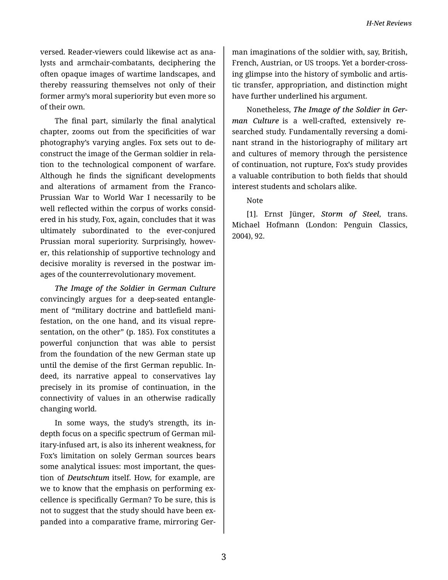versed. Reader-viewers could likewise act as ana‐ lysts and armchair-combatants, deciphering the often opaque images of wartime landscapes, and thereby reassuring themselves not only of their former army's moral superiority but even more so of their own.

The final part, similarly the final analytical chapter, zooms out from the specificities of war photography's varying angles. Fox sets out to de‐ construct the image of the German soldier in rela‐ tion to the technological component of warfare. Although he finds the significant developments and alterations of armament from the Franco-Prussian War to World War I necessarily to be well reflected within the corpus of works consid‐ ered in his study, Fox, again, concludes that it was ultimately subordinated to the ever-conjured Prussian moral superiority. Surprisingly, howev‐ er, this relationship of supportive technology and decisive morality is reversed in the postwar im‐ ages of the counterrevolutionary movement.

*The Image of the Soldier in German Culture* convincingly argues for a deep-seated entangle‐ ment of "military doctrine and battlefield mani‐ festation, on the one hand, and its visual repre‐ sentation, on the other" (p. 185). Fox constitutes a powerful conjunction that was able to persist from the foundation of the new German state up until the demise of the first German republic. In‐ deed, its narrative appeal to conservatives lay precisely in its promise of continuation, in the connectivity of values in an otherwise radically changing world.

In some ways, the study's strength, its indepth focus on a specific spectrum of German mil‐ itary-infused art, is also its inherent weakness, for Fox's limitation on solely German sources bears some analytical issues: most important, the ques‐ tion of *Deutschtum* itself. How, for example, are we to know that the emphasis on performing excellence is specifically German? To be sure, this is not to suggest that the study should have been ex‐ panded into a comparative frame, mirroring Ger‐

man imaginations of the soldier with, say, British, French, Austrian, or US troops. Yet a border-cross‐ ing glimpse into the history of symbolic and artis‐ tic transfer, appropriation, and distinction might have further underlined his argument.

Nonetheless, *The Image of the Soldier in Ger‐ man Culture* is a well-crafted, extensively researched study. Fundamentally reversing a domi‐ nant strand in the historiography of military art and cultures of memory through the persistence of continuation, not rupture, Fox's study provides a valuable contribution to both fields that should interest students and scholars alike.

Note

[1]. Ernst Jünger, *Storm of Steel*, trans. Michael Hofmann (London: Penguin Classics, 2004), 92.